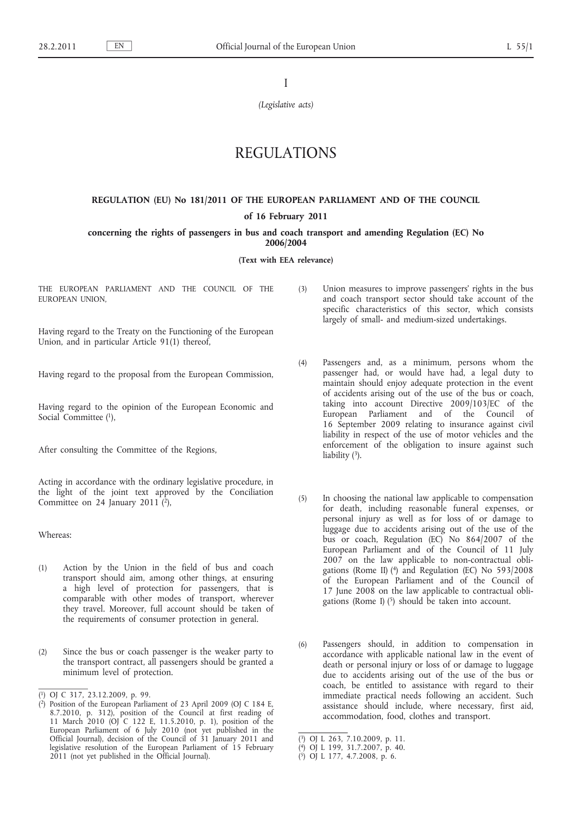I

*(Legislative acts)*

# REGULATIONS

## **REGULATION (EU) No 181/2011 OF THE EUROPEAN PARLIAMENT AND OF THE COUNCIL**

## **of 16 February 2011**

## **concerning the rights of passengers in bus and coach transport and amending Regulation (EC) No 2006/2004**

#### **(Text with EEA relevance)**

THE EUROPEAN PARLIAMENT AND THE COUNCIL OF THE EUROPEAN UNION,

Having regard to the Treaty on the Functioning of the European Union, and in particular Article 91(1) thereof,

Having regard to the proposal from the European Commission,

Having regard to the opinion of the European Economic and Social Committee (1),

After consulting the Committee of the Regions,

Acting in accordance with the ordinary legislative procedure, in the light of the joint text approved by the Conciliation Committee on 24 January 2011 $\hat{c}$ ),

Whereas:

- (1) Action by the Union in the field of bus and coach transport should aim, among other things, at ensuring a high level of protection for passengers, that is comparable with other modes of transport, wherever they travel. Moreover, full account should be taken of the requirements of consumer protection in general.
- (2) Since the bus or coach passenger is the weaker party to the transport contract, all passengers should be granted a minimum level of protection.
- ( 1) OJ C 317, 23.12.2009, p. 99.
- (3) Union measures to improve passengers' rights in the bus and coach transport sector should take account of the specific characteristics of this sector, which consists largely of small- and medium-sized undertakings.
- (4) Passengers and, as a minimum, persons whom the passenger had, or would have had, a legal duty to maintain should enjoy adequate protection in the event of accidents arising out of the use of the bus or coach, taking into account Directive 2009/103/EC of the European Parliament and of the Council of 16 September 2009 relating to insurance against civil liability in respect of the use of motor vehicles and the enforcement of the obligation to insure against such liability  $(3)$ .
- (5) In choosing the national law applicable to compensation for death, including reasonable funeral expenses, or personal injury as well as for loss of or damage to luggage due to accidents arising out of the use of the bus or coach, Regulation (EC) No 864/2007 of the European Parliament and of the Council of 11 July 2007 on the law applicable to non-contractual obligations (Rome II) (4) and Regulation (EC) No 593/2008 of the European Parliament and of the Council of 17 June 2008 on the law applicable to contractual obligations (Rome I)  $(5)$  should be taken into account.
- (6) Passengers should, in addition to compensation in accordance with applicable national law in the event of death or personal injury or loss of or damage to luggage due to accidents arising out of the use of the bus or coach, be entitled to assistance with regard to their immediate practical needs following an accident. Such assistance should include, where necessary, first aid, accommodation, food, clothes and transport.

<sup>(</sup> 2) Position of the European Parliament of 23 April 2009 (OJ C 184 E, 8.7.2010, p. 312), position of the Council at first reading of 11 March 2010 (OJ C 122 E, 11.5.2010, p. 1), position of the European Parliament of 6 July 2010 (not yet published in the Official Journal), decision of the Council of 31 January 2011 and legislative resolution of the European Parliament of 15 February 2011 (not yet published in the Official Journal).

<sup>(</sup> 3) OJ L 263, 7.10.2009, p. 11.

<sup>(</sup> 4) OJ L 199, 31.7.2007, p. 40.

<sup>(</sup> 5) OJ L 177, 4.7.2008, p. 6.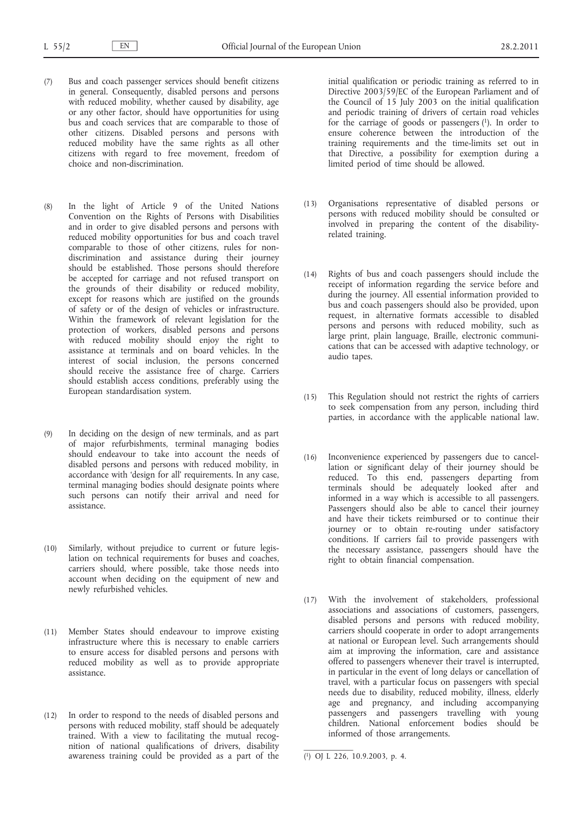- (7) Bus and coach passenger services should benefit citizens in general. Consequently, disabled persons and persons with reduced mobility, whether caused by disability, age or any other factor, should have opportunities for using bus and coach services that are comparable to those of other citizens. Disabled persons and persons with reduced mobility have the same rights as all other citizens with regard to free movement, freedom of choice and non-discrimination.
- (8) In the light of Article 9 of the United Nations Convention on the Rights of Persons with Disabilities and in order to give disabled persons and persons with reduced mobility opportunities for bus and coach travel comparable to those of other citizens, rules for nondiscrimination and assistance during their journey should be established. Those persons should therefore be accepted for carriage and not refused transport on the grounds of their disability or reduced mobility, except for reasons which are justified on the grounds of safety or of the design of vehicles or infrastructure. Within the framework of relevant legislation for the protection of workers, disabled persons and persons with reduced mobility should enjoy the right to assistance at terminals and on board vehicles. In the interest of social inclusion, the persons concerned should receive the assistance free of charge. Carriers should establish access conditions, preferably using the European standardisation system.
- (9) In deciding on the design of new terminals, and as part of major refurbishments, terminal managing bodies should endeavour to take into account the needs of disabled persons and persons with reduced mobility, in accordance with 'design for all' requirements. In any case, terminal managing bodies should designate points where such persons can notify their arrival and need for assistance.
- (10) Similarly, without prejudice to current or future legislation on technical requirements for buses and coaches, carriers should, where possible, take those needs into account when deciding on the equipment of new and newly refurbished vehicles.
- (11) Member States should endeavour to improve existing infrastructure where this is necessary to enable carriers to ensure access for disabled persons and persons with reduced mobility as well as to provide appropriate assistance.
- (12) In order to respond to the needs of disabled persons and persons with reduced mobility, staff should be adequately trained. With a view to facilitating the mutual recognition of national qualifications of drivers, disability awareness training could be provided as a part of the

initial qualification or periodic training as referred to in Directive 2003/59/EC of the European Parliament and of the Council of 15 July 2003 on the initial qualification and periodic training of drivers of certain road vehicles for the carriage of goods or passengers (1). In order to ensure coherence between the introduction of the training requirements and the time-limits set out in that Directive, a possibility for exemption during a limited period of time should be allowed.

- (13) Organisations representative of disabled persons or persons with reduced mobility should be consulted or involved in preparing the content of the disabilityrelated training.
- (14) Rights of bus and coach passengers should include the receipt of information regarding the service before and during the journey. All essential information provided to bus and coach passengers should also be provided, upon request, in alternative formats accessible to disabled persons and persons with reduced mobility, such as large print, plain language, Braille, electronic communications that can be accessed with adaptive technology, or audio tapes.
- (15) This Regulation should not restrict the rights of carriers to seek compensation from any person, including third parties, in accordance with the applicable national law.
- (16) Inconvenience experienced by passengers due to cancellation or significant delay of their journey should be reduced. To this end, passengers departing from terminals should be adequately looked after and informed in a way which is accessible to all passengers. Passengers should also be able to cancel their journey and have their tickets reimbursed or to continue their journey or to obtain re-routing under satisfactory conditions. If carriers fail to provide passengers with the necessary assistance, passengers should have the right to obtain financial compensation.
- (17) With the involvement of stakeholders, professional associations and associations of customers, passengers, disabled persons and persons with reduced mobility, carriers should cooperate in order to adopt arrangements at national or European level. Such arrangements should aim at improving the information, care and assistance offered to passengers whenever their travel is interrupted, in particular in the event of long delays or cancellation of travel, with a particular focus on passengers with special needs due to disability, reduced mobility, illness, elderly age and pregnancy, and including accompanying passengers and passengers travelling with young children. National enforcement bodies should be informed of those arrangements.

<sup>(</sup> 1) OJ L 226, 10.9.2003, p. 4.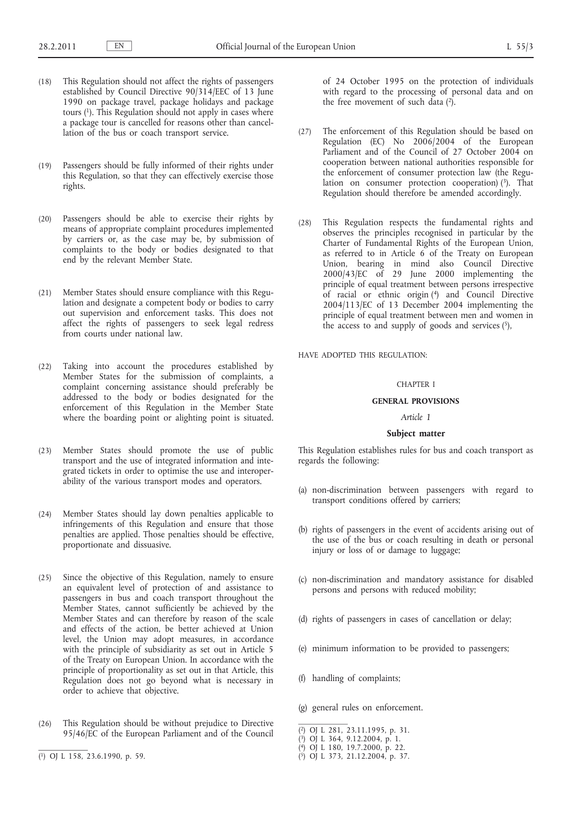- (18) This Regulation should not affect the rights of passengers established by Council Directive 90/314/EEC of 13 June 1990 on package travel, package holidays and package tours (1). This Regulation should not apply in cases where a package tour is cancelled for reasons other than cancellation of the bus or coach transport service.
- (19) Passengers should be fully informed of their rights under this Regulation, so that they can effectively exercise those rights.
- (20) Passengers should be able to exercise their rights by means of appropriate complaint procedures implemented by carriers or, as the case may be, by submission of complaints to the body or bodies designated to that end by the relevant Member State.
- (21) Member States should ensure compliance with this Regulation and designate a competent body or bodies to carry out supervision and enforcement tasks. This does not affect the rights of passengers to seek legal redress from courts under national law.
- (22) Taking into account the procedures established by Member States for the submission of complaints, a complaint concerning assistance should preferably be addressed to the body or bodies designated for the enforcement of this Regulation in the Member State where the boarding point or alighting point is situated.
- (23) Member States should promote the use of public transport and the use of integrated information and integrated tickets in order to optimise the use and interoperability of the various transport modes and operators.
- (24) Member States should lay down penalties applicable to infringements of this Regulation and ensure that those penalties are applied. Those penalties should be effective, proportionate and dissuasive.
- (25) Since the objective of this Regulation, namely to ensure an equivalent level of protection of and assistance to passengers in bus and coach transport throughout the Member States, cannot sufficiently be achieved by the Member States and can therefore by reason of the scale and effects of the action, be better achieved at Union level, the Union may adopt measures, in accordance with the principle of subsidiarity as set out in Article 5 of the Treaty on European Union. In accordance with the principle of proportionality as set out in that Article, this Regulation does not go beyond what is necessary in order to achieve that objective.
- (26) This Regulation should be without prejudice to Directive 95/46/EC of the European Parliament and of the Council
- ( 1) OJ L 158, 23.6.1990, p. 59.

of 24 October 1995 on the protection of individuals with regard to the processing of personal data and on the free movement of such data  $(2)$ .

- (27) The enforcement of this Regulation should be based on Regulation (EC) No 2006/2004 of the European Parliament and of the Council of 27 October 2004 on cooperation between national authorities responsible for the enforcement of consumer protection law (the Regulation on consumer protection cooperation)  $(3)$ . That Regulation should therefore be amended accordingly.
- (28) This Regulation respects the fundamental rights and observes the principles recognised in particular by the Charter of Fundamental Rights of the European Union, as referred to in Article 6 of the Treaty on European Union, bearing in mind also Council Directive 2000/43/EC of 29 June 2000 implementing the principle of equal treatment between persons irrespective of racial or ethnic origin (4) and Council Directive 2004/113/EC of 13 December 2004 implementing the principle of equal treatment between men and women in the access to and supply of goods and services  $(5)$ ,

HAVE ADOPTED THIS REGULATION:

#### CHAPTER I

## **GENERAL PROVISIONS**

## *Article 1*

## **Subject matter**

This Regulation establishes rules for bus and coach transport as regards the following:

- (a) non-discrimination between passengers with regard to transport conditions offered by carriers;
- (b) rights of passengers in the event of accidents arising out of the use of the bus or coach resulting in death or personal injury or loss of or damage to luggage;
- (c) non-discrimination and mandatory assistance for disabled persons and persons with reduced mobility;
- (d) rights of passengers in cases of cancellation or delay;
- (e) minimum information to be provided to passengers;
- (f) handling of complaints;
- (g) general rules on enforcement.
- ( 2) OJ L 281, 23.11.1995, p. 31.

- ( 4) OJ L 180, 19.7.2000, p. 22.
- ( 5) OJ L 373, 21.12.2004, p. 37.

<sup>(</sup> 3) OJ L 364, 9.12.2004, p. 1.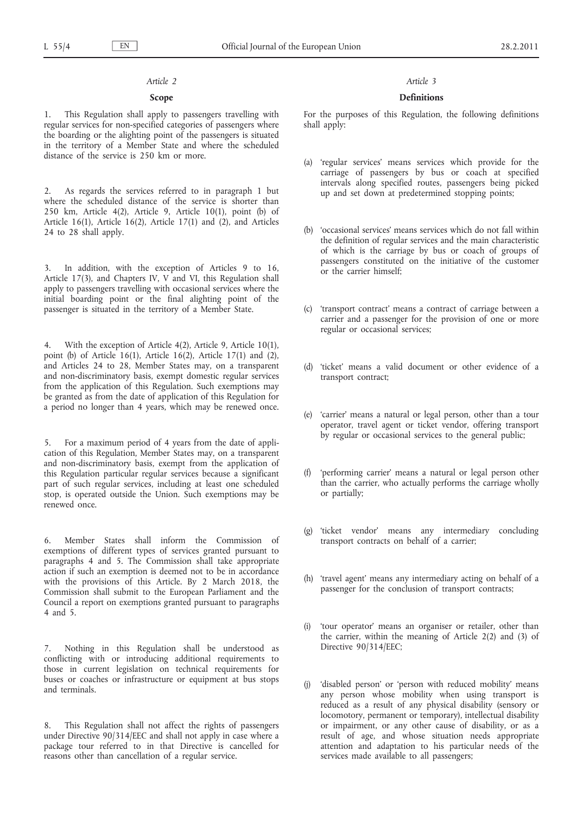#### *Article 2*

#### **Scope**

1. This Regulation shall apply to passengers travelling with regular services for non-specified categories of passengers where the boarding or the alighting point of the passengers is situated in the territory of a Member State and where the scheduled distance of the service is 250 km or more.

2. As regards the services referred to in paragraph 1 but where the scheduled distance of the service is shorter than 250 km, Article 4(2), Article 9, Article 10(1), point (b) of Article 16(1), Article 16(2), Article 17(1) and (2), and Articles 24 to 28 shall apply.

In addition, with the exception of Articles 9 to 16, Article 17(3), and Chapters IV, V and VI, this Regulation shall apply to passengers travelling with occasional services where the initial boarding point or the final alighting point of the passenger is situated in the territory of a Member State.

4. With the exception of Article 4(2), Article 9, Article 10(1), point (b) of Article 16(1), Article 16(2), Article 17(1) and (2), and Articles 24 to 28, Member States may, on a transparent and non-discriminatory basis, exempt domestic regular services from the application of this Regulation. Such exemptions may be granted as from the date of application of this Regulation for a period no longer than 4 years, which may be renewed once.

5. For a maximum period of 4 years from the date of application of this Regulation, Member States may, on a transparent and non-discriminatory basis, exempt from the application of this Regulation particular regular services because a significant part of such regular services, including at least one scheduled stop, is operated outside the Union. Such exemptions may be renewed once.

6. Member States shall inform the Commission of exemptions of different types of services granted pursuant to paragraphs 4 and 5. The Commission shall take appropriate action if such an exemption is deemed not to be in accordance with the provisions of this Article. By 2 March 2018, the Commission shall submit to the European Parliament and the Council a report on exemptions granted pursuant to paragraphs 4 and 5.

7. Nothing in this Regulation shall be understood as conflicting with or introducing additional requirements to those in current legislation on technical requirements for buses or coaches or infrastructure or equipment at bus stops and terminals.

8. This Regulation shall not affect the rights of passengers under Directive 90/314/EEC and shall not apply in case where a package tour referred to in that Directive is cancelled for reasons other than cancellation of a regular service.

#### *Article 3*

## **Definitions**

For the purposes of this Regulation, the following definitions shall apply:

- (a) 'regular services' means services which provide for the carriage of passengers by bus or coach at specified intervals along specified routes, passengers being picked up and set down at predetermined stopping points;
- (b) 'occasional services' means services which do not fall within the definition of regular services and the main characteristic of which is the carriage by bus or coach of groups of passengers constituted on the initiative of the customer or the carrier himself;
- (c) 'transport contract' means a contract of carriage between a carrier and a passenger for the provision of one or more regular or occasional services;
- (d) 'ticket' means a valid document or other evidence of a transport contract;
- (e) 'carrier' means a natural or legal person, other than a tour operator, travel agent or ticket vendor, offering transport by regular or occasional services to the general public;
- (f) 'performing carrier' means a natural or legal person other than the carrier, who actually performs the carriage wholly or partially;
- (g) 'ticket vendor' means any intermediary concluding transport contracts on behalf of a carrier;
- (h) 'travel agent' means any intermediary acting on behalf of a passenger for the conclusion of transport contracts;
- 'tour operator' means an organiser or retailer, other than the carrier, within the meaning of Article 2(2) and (3) of Directive 90/314/EEC;
- (j) 'disabled person' or 'person with reduced mobility' means any person whose mobility when using transport is reduced as a result of any physical disability (sensory or locomotory, permanent or temporary), intellectual disability or impairment, or any other cause of disability, or as a result of age, and whose situation needs appropriate attention and adaptation to his particular needs of the services made available to all passengers;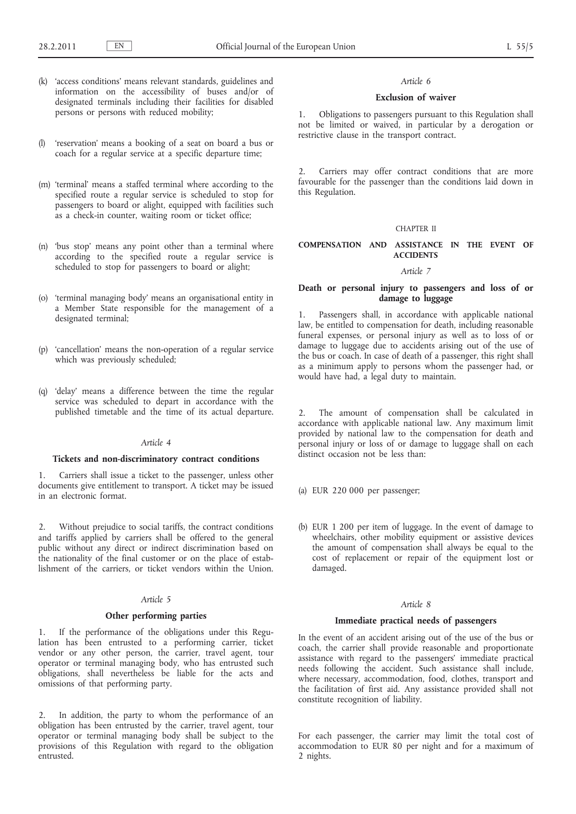- (k) 'access conditions' means relevant standards, guidelines and information on the accessibility of buses and/or of designated terminals including their facilities for disabled persons or persons with reduced mobility;
- (l) 'reservation' means a booking of a seat on board a bus or coach for a regular service at a specific departure time;
- (m) 'terminal' means a staffed terminal where according to the specified route a regular service is scheduled to stop for passengers to board or alight, equipped with facilities such as a check-in counter, waiting room or ticket office;
- (n) 'bus stop' means any point other than a terminal where according to the specified route a regular service is scheduled to stop for passengers to board or alight;
- (o) 'terminal managing body' means an organisational entity in a Member State responsible for the management of a designated terminal;
- (p) 'cancellation' means the non-operation of a regular service which was previously scheduled;
- (q) 'delay' means a difference between the time the regular service was scheduled to depart in accordance with the published timetable and the time of its actual departure.

## *Article 4*

## **Tickets and non-discriminatory contract conditions**

1. Carriers shall issue a ticket to the passenger, unless other documents give entitlement to transport. A ticket may be issued in an electronic format.

2. Without prejudice to social tariffs, the contract conditions and tariffs applied by carriers shall be offered to the general public without any direct or indirect discrimination based on the nationality of the final customer or on the place of establishment of the carriers, or ticket vendors within the Union.

#### *Article 5*

#### **Other performing parties**

1. If the performance of the obligations under this Regulation has been entrusted to a performing carrier, ticket vendor or any other person, the carrier, travel agent, tour operator or terminal managing body, who has entrusted such obligations, shall nevertheless be liable for the acts and omissions of that performing party.

2. In addition, the party to whom the performance of an obligation has been entrusted by the carrier, travel agent, tour operator or terminal managing body shall be subject to the provisions of this Regulation with regard to the obligation entrusted.

#### *Article 6*

### **Exclusion of waiver**

1. Obligations to passengers pursuant to this Regulation shall not be limited or waived, in particular by a derogation or restrictive clause in the transport contract.

2. Carriers may offer contract conditions that are more favourable for the passenger than the conditions laid down in this Regulation.

#### CHAPTER II

## **COMPENSATION AND ASSISTANCE IN THE EVENT OF ACCIDENTS**

## *Article 7*

## **Death or personal injury to passengers and loss of or damage to luggage**

1. Passengers shall, in accordance with applicable national law, be entitled to compensation for death, including reasonable funeral expenses, or personal injury as well as to loss of or damage to luggage due to accidents arising out of the use of the bus or coach. In case of death of a passenger, this right shall as a minimum apply to persons whom the passenger had, or would have had, a legal duty to maintain.

2. The amount of compensation shall be calculated in accordance with applicable national law. Any maximum limit provided by national law to the compensation for death and personal injury or loss of or damage to luggage shall on each distinct occasion not be less than:

- (a) EUR 220 000 per passenger;
- (b) EUR 1 200 per item of luggage. In the event of damage to wheelchairs, other mobility equipment or assistive devices the amount of compensation shall always be equal to the cost of replacement or repair of the equipment lost or damaged.

#### *Article 8*

#### **Immediate practical needs of passengers**

In the event of an accident arising out of the use of the bus or coach, the carrier shall provide reasonable and proportionate assistance with regard to the passengers' immediate practical needs following the accident. Such assistance shall include, where necessary, accommodation, food, clothes, transport and the facilitation of first aid. Any assistance provided shall not constitute recognition of liability.

For each passenger, the carrier may limit the total cost of accommodation to EUR 80 per night and for a maximum of 2 nights.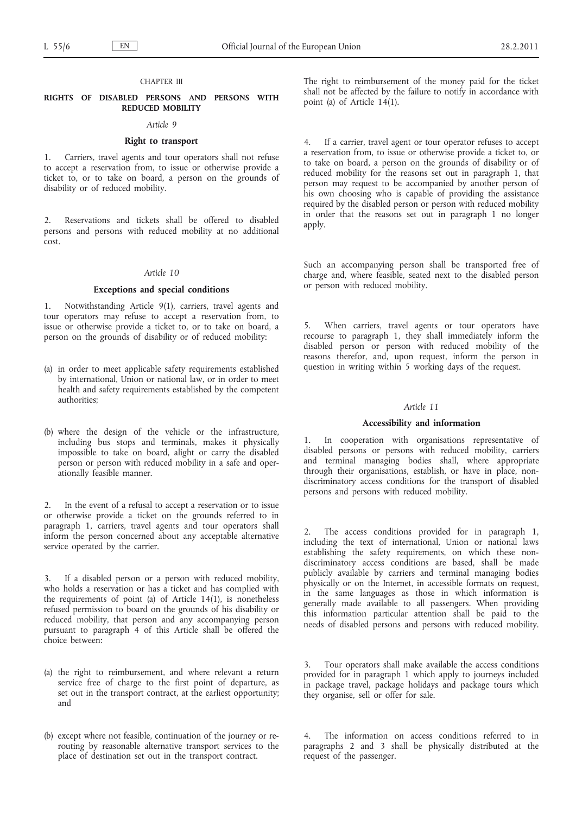#### CHAPTER III

#### **RIGHTS OF DISABLED PERSONS AND PERSONS WITH REDUCED MOBILITY**

### *Article 9*

#### **Right to transport**

1. Carriers, travel agents and tour operators shall not refuse to accept a reservation from, to issue or otherwise provide a ticket to, or to take on board, a person on the grounds of disability or of reduced mobility.

2. Reservations and tickets shall be offered to disabled persons and persons with reduced mobility at no additional cost.

## *Article 10*

#### **Exceptions and special conditions**

Notwithstanding Article 9(1), carriers, travel agents and tour operators may refuse to accept a reservation from, to issue or otherwise provide a ticket to, or to take on board, a person on the grounds of disability or of reduced mobility:

- (a) in order to meet applicable safety requirements established by international, Union or national law, or in order to meet health and safety requirements established by the competent authorities;
- (b) where the design of the vehicle or the infrastructure, including bus stops and terminals, makes it physically impossible to take on board, alight or carry the disabled person or person with reduced mobility in a safe and operationally feasible manner.

2. In the event of a refusal to accept a reservation or to issue or otherwise provide a ticket on the grounds referred to in paragraph 1, carriers, travel agents and tour operators shall inform the person concerned about any acceptable alternative service operated by the carrier.

If a disabled person or a person with reduced mobility, who holds a reservation or has a ticket and has complied with the requirements of point (a) of Article 14(1), is nonetheless refused permission to board on the grounds of his disability or reduced mobility, that person and any accompanying person pursuant to paragraph 4 of this Article shall be offered the choice between:

- (a) the right to reimbursement, and where relevant a return service free of charge to the first point of departure, as set out in the transport contract, at the earliest opportunity; and
- (b) except where not feasible, continuation of the journey or rerouting by reasonable alternative transport services to the place of destination set out in the transport contract.

The right to reimbursement of the money paid for the ticket shall not be affected by the failure to notify in accordance with point (a) of Article 14(1).

4. If a carrier, travel agent or tour operator refuses to accept a reservation from, to issue or otherwise provide a ticket to, or to take on board, a person on the grounds of disability or of reduced mobility for the reasons set out in paragraph 1, that person may request to be accompanied by another person of his own choosing who is capable of providing the assistance required by the disabled person or person with reduced mobility in order that the reasons set out in paragraph 1 no longer apply.

Such an accompanying person shall be transported free of charge and, where feasible, seated next to the disabled person or person with reduced mobility.

5. When carriers, travel agents or tour operators have recourse to paragraph 1, they shall immediately inform the disabled person or person with reduced mobility of the reasons therefor, and, upon request, inform the person in question in writing within 5 working days of the request.

## *Article 11*

#### **Accessibility and information**

1. In cooperation with organisations representative of disabled persons or persons with reduced mobility, carriers and terminal managing bodies shall, where appropriate through their organisations, establish, or have in place, nondiscriminatory access conditions for the transport of disabled persons and persons with reduced mobility.

The access conditions provided for in paragraph 1, including the text of international, Union or national laws establishing the safety requirements, on which these nondiscriminatory access conditions are based, shall be made publicly available by carriers and terminal managing bodies physically or on the Internet, in accessible formats on request, in the same languages as those in which information is generally made available to all passengers. When providing this information particular attention shall be paid to the needs of disabled persons and persons with reduced mobility.

Tour operators shall make available the access conditions provided for in paragraph 1 which apply to journeys included in package travel, package holidays and package tours which they organise, sell or offer for sale.

The information on access conditions referred to in paragraphs 2 and 3 shall be physically distributed at the request of the passenger.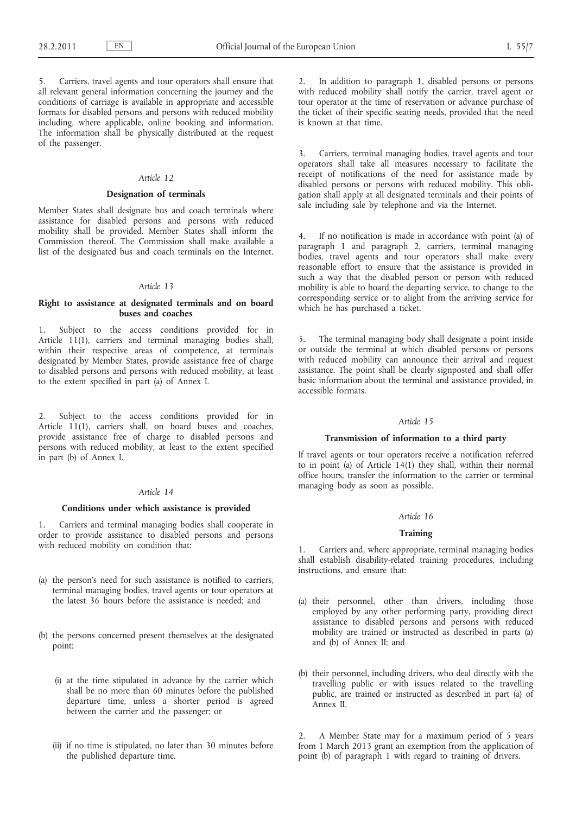5. Carriers, travel agents and tour operators shall ensure that all relevant general information concerning the journey and the conditions of carriage is available in appropriate and accessible formats for disabled persons and persons with reduced mobility including, where applicable, online booking and information. The information shall be physically distributed at the request of the passenger.

## *Article 12*

#### **Designation of terminals**

Member States shall designate bus and coach terminals where assistance for disabled persons and persons with reduced mobility shall be provided. Member States shall inform the Commission thereof. The Commission shall make available a list of the designated bus and coach terminals on the Internet.

#### *Article 13*

## **Right to assistance at designated terminals and on board buses and coaches**

1. Subject to the access conditions provided for in Article 11(1), carriers and terminal managing bodies shall, within their respective areas of competence, at terminals designated by Member States, provide assistance free of charge to disabled persons and persons with reduced mobility, at least to the extent specified in part (a) of Annex I.

2. Subject to the access conditions provided for in Article 11(1), carriers shall, on board buses and coaches, provide assistance free of charge to disabled persons and persons with reduced mobility, at least to the extent specified in part (b) of Annex I.

#### *Article 14*

#### **Conditions under which assistance is provided**

1. Carriers and terminal managing bodies shall cooperate in order to provide assistance to disabled persons and persons with reduced mobility on condition that:

- (a) the person's need for such assistance is notified to carriers, terminal managing bodies, travel agents or tour operators at the latest 36 hours before the assistance is needed; and
- (b) the persons concerned present themselves at the designated point:
	- (i) at the time stipulated in advance by the carrier which shall be no more than 60 minutes before the published departure time, unless a shorter period is agreed between the carrier and the passenger; or
	- (ii) if no time is stipulated, no later than 30 minutes before the published departure time.

2. In addition to paragraph 1, disabled persons or persons with reduced mobility shall notify the carrier, travel agent or tour operator at the time of reservation or advance purchase of the ticket of their specific seating needs, provided that the need is known at that time.

3. Carriers, terminal managing bodies, travel agents and tour operators shall take all measures necessary to facilitate the receipt of notifications of the need for assistance made by disabled persons or persons with reduced mobility. This obligation shall apply at all designated terminals and their points of sale including sale by telephone and via the Internet.

4. If no notification is made in accordance with point (a) of paragraph 1 and paragraph 2, carriers, terminal managing bodies, travel agents and tour operators shall make every reasonable effort to ensure that the assistance is provided in such a way that the disabled person or person with reduced mobility is able to board the departing service, to change to the corresponding service or to alight from the arriving service for which he has purchased a ticket.

5. The terminal managing body shall designate a point inside or outside the terminal at which disabled persons or persons with reduced mobility can announce their arrival and request assistance. The point shall be clearly signposted and shall offer basic information about the terminal and assistance provided, in accessible formats.

## *Article 15*

## **Transmission of information to a third party**

If travel agents or tour operators receive a notification referred to in point (a) of Article 14(1) they shall, within their normal office hours, transfer the information to the carrier or terminal managing body as soon as possible.

#### *Article 16*

## **Training**

1. Carriers and, where appropriate, terminal managing bodies shall establish disability-related training procedures, including instructions, and ensure that:

- (a) their personnel, other than drivers, including those employed by any other performing party, providing direct assistance to disabled persons and persons with reduced mobility are trained or instructed as described in parts (a) and (b) of Annex II; and
- (b) their personnel, including drivers, who deal directly with the travelling public or with issues related to the travelling public, are trained or instructed as described in part (a) of Annex II.

2. A Member State may for a maximum period of 5 years from 1 March 2013 grant an exemption from the application of point (b) of paragraph 1 with regard to training of drivers.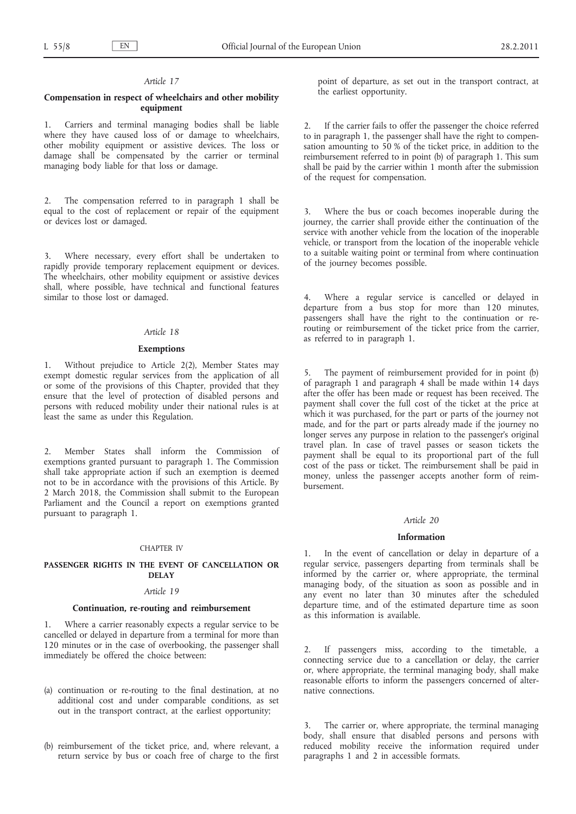#### *Article 17*

## **Compensation in respect of wheelchairs and other mobility equipment**

1. Carriers and terminal managing bodies shall be liable where they have caused loss of or damage to wheelchairs, other mobility equipment or assistive devices. The loss or damage shall be compensated by the carrier or terminal managing body liable for that loss or damage.

2. The compensation referred to in paragraph 1 shall be equal to the cost of replacement or repair of the equipment or devices lost or damaged.

3. Where necessary, every effort shall be undertaken to rapidly provide temporary replacement equipment or devices. The wheelchairs, other mobility equipment or assistive devices shall, where possible, have technical and functional features similar to those lost or damaged.

## *Article 18*

## **Exemptions**

1. Without prejudice to Article 2(2), Member States may exempt domestic regular services from the application of all or some of the provisions of this Chapter, provided that they ensure that the level of protection of disabled persons and persons with reduced mobility under their national rules is at least the same as under this Regulation.

2. Member States shall inform the Commission of exemptions granted pursuant to paragraph 1. The Commission shall take appropriate action if such an exemption is deemed not to be in accordance with the provisions of this Article. By 2 March 2018, the Commission shall submit to the European Parliament and the Council a report on exemptions granted pursuant to paragraph 1.

#### CHAPTER IV

## **PASSENGER RIGHTS IN THE EVENT OF CANCELLATION OR DELAY**

#### *Article 19*

## **Continuation, re-routing and reimbursement**

1. Where a carrier reasonably expects a regular service to be cancelled or delayed in departure from a terminal for more than 120 minutes or in the case of overbooking, the passenger shall immediately be offered the choice between:

- (a) continuation or re-routing to the final destination, at no additional cost and under comparable conditions, as set out in the transport contract, at the earliest opportunity;
- (b) reimbursement of the ticket price, and, where relevant, a return service by bus or coach free of charge to the first

point of departure, as set out in the transport contract, at the earliest opportunity.

2. If the carrier fails to offer the passenger the choice referred to in paragraph 1, the passenger shall have the right to compensation amounting to 50 % of the ticket price, in addition to the reimbursement referred to in point (b) of paragraph 1. This sum shall be paid by the carrier within 1 month after the submission of the request for compensation.

Where the bus or coach becomes inoperable during the journey, the carrier shall provide either the continuation of the service with another vehicle from the location of the inoperable vehicle, or transport from the location of the inoperable vehicle to a suitable waiting point or terminal from where continuation of the journey becomes possible.

Where a regular service is cancelled or delayed in departure from a bus stop for more than 120 minutes, passengers shall have the right to the continuation or rerouting or reimbursement of the ticket price from the carrier, as referred to in paragraph 1.

The payment of reimbursement provided for in point (b) of paragraph 1 and paragraph 4 shall be made within 14 days after the offer has been made or request has been received. The payment shall cover the full cost of the ticket at the price at which it was purchased, for the part or parts of the journey not made, and for the part or parts already made if the journey no longer serves any purpose in relation to the passenger's original travel plan. In case of travel passes or season tickets the payment shall be equal to its proportional part of the full cost of the pass or ticket. The reimbursement shall be paid in money, unless the passenger accepts another form of reimbursement.

#### *Article 20*

#### **Information**

1. In the event of cancellation or delay in departure of a regular service, passengers departing from terminals shall be informed by the carrier or, where appropriate, the terminal managing body, of the situation as soon as possible and in any event no later than 30 minutes after the scheduled departure time, and of the estimated departure time as soon as this information is available.

2. If passengers miss, according to the timetable, a connecting service due to a cancellation or delay, the carrier or, where appropriate, the terminal managing body, shall make reasonable efforts to inform the passengers concerned of alternative connections.

The carrier or, where appropriate, the terminal managing body, shall ensure that disabled persons and persons with reduced mobility receive the information required under paragraphs 1 and 2 in accessible formats.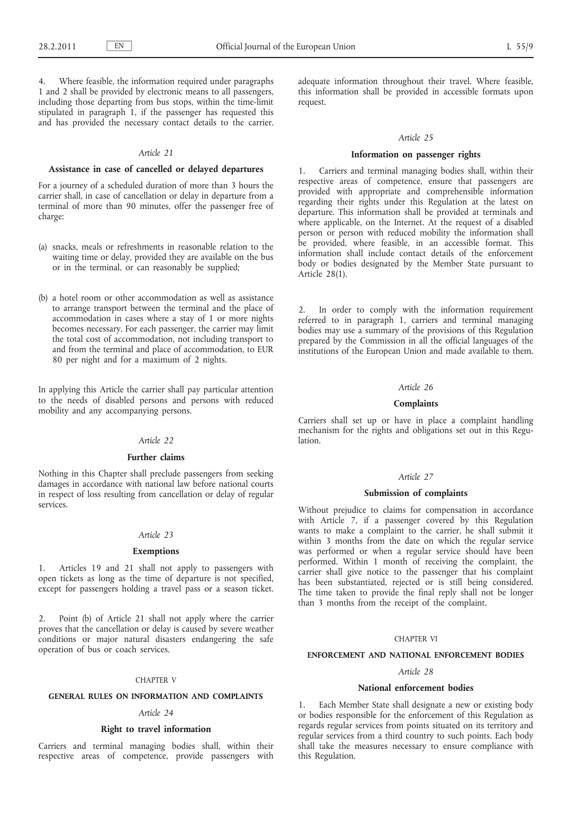4. Where feasible, the information required under paragraphs 1 and 2 shall be provided by electronic means to all passengers, including those departing from bus stops, within the time-limit stipulated in paragraph 1, if the passenger has requested this and has provided the necessary contact details to the carrier.

## *Article 21*

#### **Assistance in case of cancelled or delayed departures**

For a journey of a scheduled duration of more than 3 hours the carrier shall, in case of cancellation or delay in departure from a terminal of more than 90 minutes, offer the passenger free of charge:

- (a) snacks, meals or refreshments in reasonable relation to the waiting time or delay, provided they are available on the bus or in the terminal, or can reasonably be supplied;
- (b) a hotel room or other accommodation as well as assistance to arrange transport between the terminal and the place of accommodation in cases where a stay of 1 or more nights becomes necessary. For each passenger, the carrier may limit the total cost of accommodation, not including transport to and from the terminal and place of accommodation, to EUR 80 per night and for a maximum of 2 nights.

In applying this Article the carrier shall pay particular attention to the needs of disabled persons and persons with reduced mobility and any accompanying persons.

## *Article 22*

#### **Further claims**

Nothing in this Chapter shall preclude passengers from seeking damages in accordance with national law before national courts in respect of loss resulting from cancellation or delay of regular services.

## *Article 23*

#### **Exemptions**

1. Articles 19 and 21 shall not apply to passengers with open tickets as long as the time of departure is not specified, except for passengers holding a travel pass or a season ticket.

2. Point (b) of Article 21 shall not apply where the carrier proves that the cancellation or delay is caused by severe weather conditions or major natural disasters endangering the safe operation of bus or coach services.

#### CHAPTER V

## **GENERAL RULES ON INFORMATION AND COMPLAINTS**

## *Article 24*

#### **Right to travel information**

Carriers and terminal managing bodies shall, within their respective areas of competence, provide passengers with adequate information throughout their travel. Where feasible, this information shall be provided in accessible formats upon request.

#### *Article 25*

#### **Information on passenger rights**

1. Carriers and terminal managing bodies shall, within their respective areas of competence, ensure that passengers are provided with appropriate and comprehensible information regarding their rights under this Regulation at the latest on departure. This information shall be provided at terminals and where applicable, on the Internet. At the request of a disabled person or person with reduced mobility the information shall be provided, where feasible, in an accessible format. This information shall include contact details of the enforcement body or bodies designated by the Member State pursuant to Article 28(1).

2. In order to comply with the information requirement referred to in paragraph 1, carriers and terminal managing bodies may use a summary of the provisions of this Regulation prepared by the Commission in all the official languages of the institutions of the European Union and made available to them.

#### *Article 26*

#### **Complaints**

Carriers shall set up or have in place a complaint handling mechanism for the rights and obligations set out in this Regulation.

#### *Article 27*

#### **Submission of complaints**

Without prejudice to claims for compensation in accordance with Article 7, if a passenger covered by this Regulation wants to make a complaint to the carrier, he shall submit it within 3 months from the date on which the regular service was performed or when a regular service should have been performed. Within 1 month of receiving the complaint, the carrier shall give notice to the passenger that his complaint has been substantiated, rejected or is still being considered. The time taken to provide the final reply shall not be longer than 3 months from the receipt of the complaint.

#### CHAPTER VI

#### **ENFORCEMENT AND NATIONAL ENFORCEMENT BODIES**

## *Article 28*

#### **National enforcement bodies**

1. Each Member State shall designate a new or existing body or bodies responsible for the enforcement of this Regulation as regards regular services from points situated on its territory and regular services from a third country to such points. Each body shall take the measures necessary to ensure compliance with this Regulation.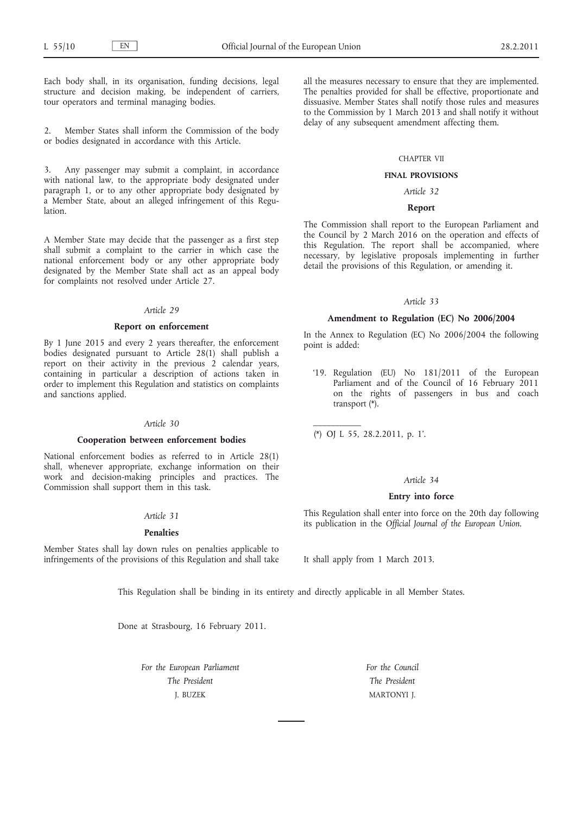Each body shall, in its organisation, funding decisions, legal structure and decision making, be independent of carriers, tour operators and terminal managing bodies.

2. Member States shall inform the Commission of the body or bodies designated in accordance with this Article.

3. Any passenger may submit a complaint, in accordance with national law, to the appropriate body designated under paragraph 1, or to any other appropriate body designated by a Member State, about an alleged infringement of this Regulation.

A Member State may decide that the passenger as a first step shall submit a complaint to the carrier in which case the national enforcement body or any other appropriate body designated by the Member State shall act as an appeal body for complaints not resolved under Article 27.

## *Article 29*

#### **Report on enforcement**

By 1 June 2015 and every 2 years thereafter, the enforcement bodies designated pursuant to Article 28(1) shall publish a report on their activity in the previous 2 calendar years, containing in particular a description of actions taken in order to implement this Regulation and statistics on complaints and sanctions applied.

## *Article 30*

## **Cooperation between enforcement bodies**

National enforcement bodies as referred to in Article 28(1) shall, whenever appropriate, exchange information on their work and decision-making principles and practices. The Commission shall support them in this task.

## *Article 31*

## **Penalties**

Member States shall lay down rules on penalties applicable to infringements of the provisions of this Regulation and shall take all the measures necessary to ensure that they are implemented. The penalties provided for shall be effective, proportionate and dissuasive. Member States shall notify those rules and measures to the Commission by 1 March 2013 and shall notify it without delay of any subsequent amendment affecting them.

#### CHAPTER VII

#### **FINAL PROVISIONS**

*Article 32*

## **Report**

The Commission shall report to the European Parliament and the Council by 2 March 2016 on the operation and effects of this Regulation. The report shall be accompanied, where necessary, by legislative proposals implementing in further detail the provisions of this Regulation, or amending it.

## *Article 33*

## **Amendment to Regulation (EC) No 2006/2004**

In the Annex to Regulation (EC) No 2006/2004 the following point is added:

'19. Regulation (EU) No 181/2011 of the European Parliament and of the Council of 16 February 2011 on the rights of passengers in bus and coach transport (\*).

(\*) OJ L 55, 28.2.2011, p. 1'.

## *Article 34*

#### **Entry into force**

This Regulation shall enter into force on the 20th day following its publication in the *Official Journal of the European Union*.

It shall apply from 1 March 2013.

This Regulation shall be binding in its entirety and directly applicable in all Member States.

Done at Strasbourg, 16 February 2011.

*For the European Parliament The President* J. BUZEK

*For the Council The President* MARTONYI J.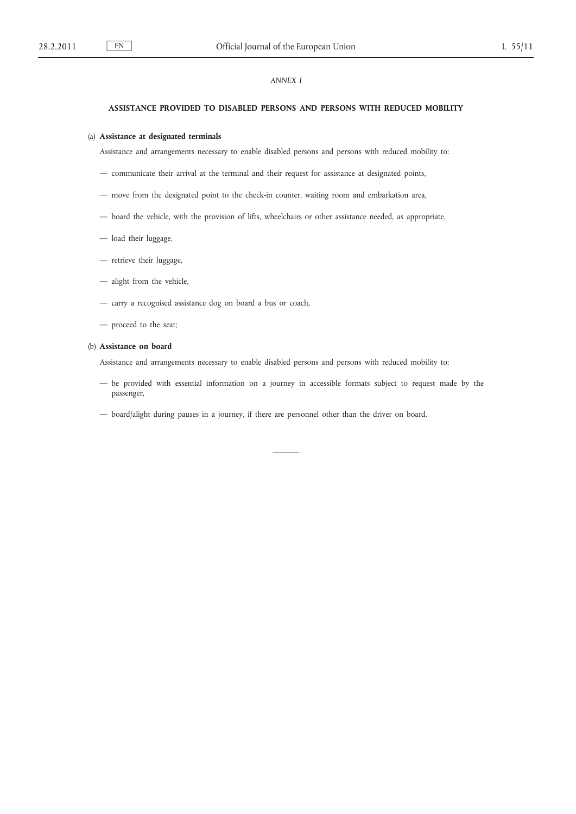## *ANNEX I*

#### **ASSISTANCE PROVIDED TO DISABLED PERSONS AND PERSONS WITH REDUCED MOBILITY**

## (a) **Assistance at designated terminals**

Assistance and arrangements necessary to enable disabled persons and persons with reduced mobility to:

- communicate their arrival at the terminal and their request for assistance at designated points,
- move from the designated point to the check-in counter, waiting room and embarkation area,
- board the vehicle, with the provision of lifts, wheelchairs or other assistance needed, as appropriate,
- load their luggage,
- retrieve their luggage,
- alight from the vehicle,
- carry a recognised assistance dog on board a bus or coach,
- proceed to the seat;

## (b) **Assistance on board**

Assistance and arrangements necessary to enable disabled persons and persons with reduced mobility to:

- be provided with essential information on a journey in accessible formats subject to request made by the passenger,
- board/alight during pauses in a journey, if there are personnel other than the driver on board.